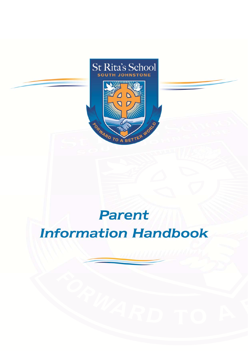

# Parent **Information Handbook**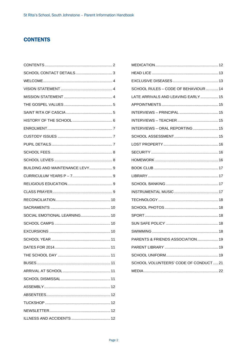## **CONTENTS**

| BUILDING AND MAINTENANCE LEVY 9 |
|---------------------------------|
|                                 |
|                                 |
|                                 |
|                                 |
|                                 |
| SOCIAL EMOTIONAL LEARNING 10    |
|                                 |
|                                 |
|                                 |
|                                 |
|                                 |
|                                 |
|                                 |
|                                 |
|                                 |
|                                 |
|                                 |
|                                 |
|                                 |

| SCHOOL RULES - CODE OF BEHAVIOUR  14 |  |
|--------------------------------------|--|
| LATE ARRIVALS AND LEAVING EARLY  15  |  |
|                                      |  |
|                                      |  |
|                                      |  |
| INTERVIEWS - ORAL REPORTING  15      |  |
|                                      |  |
|                                      |  |
|                                      |  |
|                                      |  |
|                                      |  |
|                                      |  |
|                                      |  |
|                                      |  |
|                                      |  |
|                                      |  |
|                                      |  |
|                                      |  |
|                                      |  |
| PARENTS & FRIENDS ASSOCIATION 19     |  |
|                                      |  |
|                                      |  |
| SCHOOL VOLUNTEERS' CODE OF CONDUCT21 |  |
|                                      |  |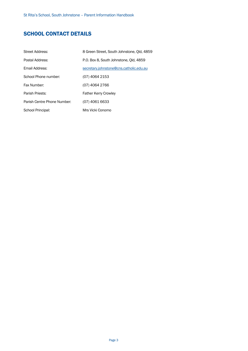## SCHOOL CONTACT DETAILS

| <b>Street Address:</b>      | 8 Green Street, South Johnstone, Old, 4859 |
|-----------------------------|--------------------------------------------|
| Postal Address:             | P.O. Box 8, South Johnstone, Old, 4859     |
| Email Address:              | secretary.johnstone@cns.catholic.edu.au    |
| School Phone number:        | (07) 4064 2153                             |
| Fax Number:                 | (07) 4064 2766                             |
| Parish Priests:             | <b>Father Kerry Crowley</b>                |
| Parish Centre Phone Number: | (07) 4061 6633                             |
| School Principal:           | Mrs Vicki Conomo                           |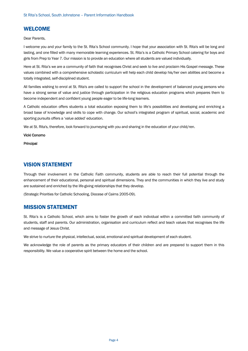## WELCOME

Dear Parents,

I welcome you and your family to the St. Rita's School community. I hope that your association with St. Rita's will be long and lasting, and one filled with many memorable learning experiences. St. Rita's is a Catholic Primary School catering for boys and girls from Prep to Year 7. Our mission is to provide an education where all students are valued individually.

Here at St. Rita's we are a community of faith that recognises Christ and seek to live and proclaim His Gospel message. These values combined with a comprehensive scholastic curriculum will help each child develop his/her own abilities and become a totally integrated, self-disciplined student.

All families wishing to enrol at St. Rita's are called to support the school in the development of balanced young persons who have a strong sense of value and justice through participation in the religious education programs which prepares them to become independent and confident young people eager to be life-long learners.

A Catholic education offers students a total education exposing them to life's possibilities and developing and enriching a broad base of knowledge and skills to cope with change. Our school's integrated program of spiritual, social, academic and sporting pursuits offers a 'value added' education.

We at St. Rita's, therefore, look forward to journeying with you and sharing in the education of your child/ren.

#### Vicki Conomo

Principal

## VISION STATEMENT

Through their involvement in the Catholic Faith community, students are able to reach their full potential through the enhancement of their educational, personal and spiritual dimensions. They and the communities in which they live and study are sustained and enriched by the life-giving relationships that they develop.

(Strategic Priorities for Catholic Schooling, Diocese of Cairns 2005-09).

#### MISSION STATEMENT

St. Rita's is a Catholic School, which aims to foster the growth of each individual within a committed faith community of students, staff and parents. Our administration, organisation and curriculum reflect and teach values that recognises the life and message of Jesus Christ.

We strive to nurture the physical, intellectual, social, emotional and spiritual development of each student.

We acknowledge the role of parents as the primary educators of their children and are prepared to support them in this responsibility. We value a cooperative spirit between the home and the school.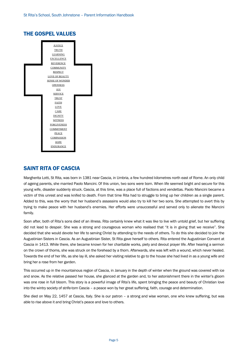## THE GOSPEL VALUES



## SAINT RITA OF CASCIA

Margherita Lotti, St Rita, was born in 1381 near Cascia, in Umbria, a few hundred kilometres north east of Rome. An only child of ageing parents, she married Paolo Mancini. Of this union, two sons were born. When life seemed bright and secure for this young wife, disaster suddenly struck. Cascia, at this time, was a place full of factions and vendettas. Paolo Mancini became a victim of this unrest and was knifed to death. From that time Rita had to struggle to bring up her children as a single parent. Added to this, was the worry that her husband's assassins would also try to kill her two sons. She attempted to avert this by trying to make peace with her husband's enemies. Her efforts were unsuccessful and served only to alienate the Mancini family.

Soon after, both of Rita's sons died of an illness. Rita certainly knew what it was like to live with untold grief, but her suffering did not lead to despair. She was a strong and courageous woman who realised that "it is in giving that we receive". She decided that she would devote her life to serving Christ by attending to the needs of others. To do this she decided to join the Augustinian Sisters in Cascia. As an Augustinian Sister, St Rita gave herself to others. Rita entered the Augustinian Convent at Cascia in 1413. While there, she became known for her charitable works, piety and devout prayer life. After hearing a sermon on the crown of thorns, she was struck on the forehead by a thorn. Afterwards, she was left with a wound, which never healed. Towards the end of her life, as she lay ill, she asked her visiting relative to go to the house she had lived in as a young wife and bring her a rose from her garden.

This occurred up in the mountainous region of Cascia, in January in the depth of winter when the ground was covered with ice and snow. As the relative passed her house, she glanced at the garden and, to her astonishment there in the winter's gloom was one rose in full bloom. This story is a powerful image of Rita's life, spent bringing the peace and beauty of Christian love into the wintry society of strife-torn Cascia – a peace won by her great suffering, faith, courage and determination.

She died on May 22, 1457 at Cascia, Italy. She is our patron – a strong and wise woman, one who knew suffering, but was able to rise above it and bring Christ's peace and love to others.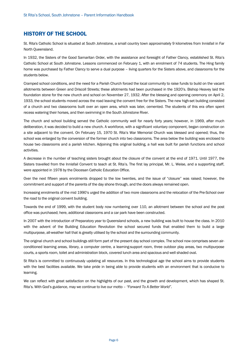## HISTORY OF THE SCHOOL

St. Rita's Catholic School is situated at South Johnstone, a small country town approximately 9 kilometres from Innisfail in Far North Queensland.

In 1932, the Sisters of the Good Samaritan Order, with the assistance and foresight of Father Clancy, established St. Rita's Catholic School at South Johnstone. Lessons commenced on February 1, with an enrolment of 74 students. The Hing family home was purchased by Father Clancy to serve a dual purpose – living quarters for the Sisters above, and classrooms for the students below.

Cramped school conditions, and the need for a Parish Church forced the local community to raise funds to build on the vacant allotments between Green and Driscoll Streets; these allotments had been purchased in the 1920's. Bishop Heavey laid the foundation stone for the new church and school on November 27, 1932. After the blessing and opening ceremony on April 2, 1933, the school students moved across the road leaving the convent free for the Sisters. The new high-set building consisted of a church and two classrooms built over an open area, which was later, cemented. The students of this era often spent recess watering their horses, and then swimming in the South Johnstone River.

The church and school building served the Catholic community well for nearly forty years; however, in 1969, after much deliberation, it was decided to build a new church. A workforce, with a significant voluntary component, began construction on a site adjacent to the convent. On February 15, 1970 St. Rita's War Memorial Church was blessed and opened; thus, the school was enlarged by the conversion of the former church into two classrooms. The area below the building was enclosed to house two classrooms and a parish kitchen. Adjoining this original building, a hall was built for parish functions and school activities.

A decrease in the number of teaching sisters brought about the closure of the convent at the end of 1971. Until 1977, the Sisters travelled from the Innisfail Convent to teach at St. Rita's. The first lay principal, Mr. L. Weise, and a supporting staff, were appointed in 1978 by the Diocesan Catholic Education Office.

Over the next fifteen years enrolments dropped to the low twenties, and the issue of "closure" was raised; however, the commitment and support of the parents of the day shone through, and the doors always remained open.

Increasing enrolments of the mid 1990's urged the addition of two more classrooms and the relocation of the Pre-School over the road to the original convent building.

Towards the end of 1999, with the student body now numbering over 110, an allotment between the school and the post office was purchased; here, additional classrooms and a car park have been constructed.

In 2007 with the introduction of Preparatory year to Queensland schools, a new building was built to house the class. In 2010 with the advent of the Building Education Revolution the school secured funds that enabled them to build a large multipurpose, all-weather hall that is greatly utilised by the school and the surrounding community.

The original church and school buildings still form part of the present day school complex. The school now comprises seven airconditioned learning areas, library, a computer centre, a learning-support room, three outdoor play areas, two multipurpose courts, a sports room, toilet and administration block, covered lunch area and spacious and well shaded oval.

St Rita's is committed to continuously updating all resources. In this technological age the school aims to provide students with the best facilities available. We take pride in being able to provide students with an environment that is conducive to learning.

We can reflect with great satisfaction on the highlights of our past, and the growth and development, which has shaped St. Rita's. With God's guidance, may we continue to live our motto – *"Forward To A Better World".*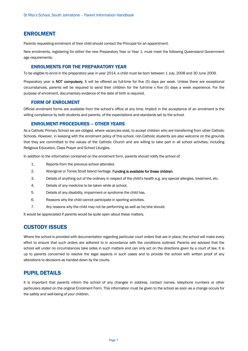#### ENROLMENT

Parents requesting enrolment of their child should contact the Principal for an appointment.

New enrolments, registering for either the new Preparatory Year or Year 1, must meet the following Queensland Government age requirements:

#### ENROLMENTS FOR THE PREPARATORY YEAR

To be eligible to enrol in the preparatory year in year 2014, a child must be born between 1 July, 2008 and 30 June 2009.

Preparatory year is NOT compulsory. It will be offered as full-time for five (5) days per week. Unless there are exceptional circumstances, parents will be required to send their children for the full-time x five (5) days a week experience. For the purpose of enrolment, documentary evidence of the date of birth is required.

#### FORM OF ENROLMENT

Official enrolment forms are available from the school's office at any time. Implicit in the acceptance of an enrolment is the willing compliance by both students and parents, of the expectations and standards set by the school.

#### ENROLMENT PROCEDURES – OTHER YEARS

As a Catholic Primary School we are obliged, where vacancies exist, to accept children who are transferring from other Catholic Schools. However, in keeping with the enrolment policy of this school, non-Catholic students are also welcome on the grounds that they are committed to the values of the Catholic Church and are willing to take part in all school activities, including Religious Education, Class Prayer and School Liturgies.

In addition to the information contained on the enrolment form, parents should notify the school of:

- 1. Reports from the previous school attended.
- 2. Aboriginal or Torres Strait Island heritage. Funding is available for these children.
- 3. Details of anything out of the ordinary in respect of the child's health e.g. any special allergies, treatment, etc.
- 4. Details of any medicine to be taken while at school.
- 5. Details of any disability, impairment or syndrome the child has.
- 6. Reasons why the child cannot participate in sporting activities.
- 7. Any reasons why the child may not be performing as well as he/she should.

It would be appreciated if parents would be quite open about these matters.

#### CUSTODY ISSUES

Where the school is provided with documentation regarding particular court orders that are in place, the school will make every effort to ensure that such orders are adhered to in accordance with the conditions outlined. Parents are advised that the school will under no circumstances take sides in such matters and can only act on the directions given by a court of law. It is up to parents concerned to resolve the legal aspects in such cases and to provide the school with written proof of any alterations to decisions as handed down by the courts.

#### PUPIL DETAILS

It is important that parents inform the school of any changes in address, contact names, telephone numbers or other particulars stated on the original Enrolment Form. This information must be given to the school as soon as a change occurs for the safety and well-being of your children.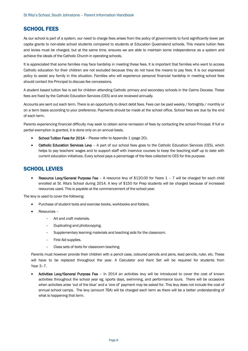## SCHOOL FEES

As our school is part of a system, our need to charge fees arises from the policy of governments to fund significantly lower per capita grants to non-state school students compared to students at Education Queensland schools. This means tuition fees and levies must be charged, but at the same time, ensures we are able to maintain some independence as a system and achieve the ideals of the Catholic Church in operating schools.

It is appreciated that some families may face hardship in meeting these fees. It is important that families who want to access Catholic education for their children are not excluded because they do not have the means to pay fees. It is our expressed policy to assist any family in this situation. Families who will experience personal financial hardship in meeting school fees should contact the Principal to discuss fee concessions.

A student based tuition fee is set for children attending Catholic primary and secondary schools in the Cairns Diocese. These fees are fixed by the Catholic Education Services (CES) and are reviewed annually.

Accounts are sent out each term. There is an opportunity to direct debit fees. Fees can be paid weekly / fortnightly / monthly or on a term basis according to your preference. Payments should be made at the school office. School fees are due by the end of each term.

Parents experiencing financial difficulty may seek to obtain some remission of fees by contacting the school Principal. If full or partial exemption is granted, it is done only on an annual basis.

- School Tuition Fees for 2014 Please refer to Appendix 1 (page 20).
- Catholic Education Services Levy A part of our school fees goes to the Catholic Education Services (CES), which helps to pay teachers' wages and to support staff with inservice courses to keep the teaching staff up to date with current education initiatives. Every school pays a percentage of the fees collected to CES for this purpose.

## SCHOOL LEVIES

• Resource Levy/General Purpose Fee – A resource levy of \$120.00 for Years 1 – 7 will be charged for each child enrolled at St. Rita's School during 2014. A levy of \$150 for Prep students will be charged because of increased resources used. This is payable at the commencement of the school year.

The levy is used to cover the following:

- Purchase of student texts and exercise books, workbooks and folders.
- Resources
	- Art and craft materials.
	- Duplicating and photocopying.
	- Supplementary learning materials and teaching aids for the classroom.
	- First Aid supplies.
	- Class sets of texts for classroom teaching.

Parents must however provide their children with a pencil case, coloured pencils and pens, lead pencils, ruler, etc. These will have to be replaced throughout the year. A Calculator and Kent Set will be required for students from Year 3–7.

• Activities Levy/General Purpose Fee – In 2014 an activities levy will be introduced to cover the cost of known activities throughout the school year eg. sports days, swimming, and performance tours. There will be occasions when activities arise 'out of the blue' and a 'one of' payment may be asked for. This levy does not include the cost of annual school camps. The levy (amount TBA) will be charged each term as there will be a better understanding of what is happening that term.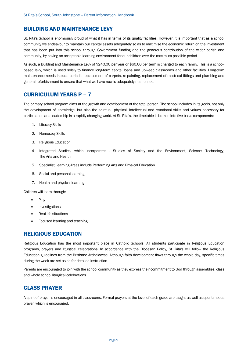## BUILDING AND MAINTENANCE LEVY

St. Rita's School is enormously proud of what it has in terms of its quality facilities. However, it is important that as a school community we endeavour to maintain our capital assets adequately so as to maximise the economic return on the investment that has been put into this school through Government funding and the generous contribution of the wider parish and community, by having an acceptable learning environment for our children over the maximum possible period.

As such, a Building and Maintenance Levy of \$240.00 per year or \$60.00 per term is charged to each family. This is a schoolbased levy, which is used solely to finance long-term capital loans and up-keep classrooms and other facilities. Long-term maintenance needs include periodic replacement of carpets, re-painting, replacement of electrical fittings and plumbing and general refurbishment to ensure that what we have now is adequately maintained.

#### CURRICULUM YEARS P – 7

The primary school program aims at the growth and development of the total person. The school includes in its goals, not only the development of knowledge, but also the spiritual, physical, intellectual and emotional skills and values necessary for participation and leadership in a rapidly changing world. At St. Rita's, the timetable is broken into five basic components:

- 1. Literacy Skills
- 2. Numeracy Skills
- 3. Religious Education
- 4. Integrated Studies, which incorporates Studies of Society and the Environment, Science, Technology, The Arts and Health
- 5. Specialist Learning Areas include Performing Arts and Physical Education
- 6. Social and personal learning
- 7. Health and physical learning

Children will learn through:

- Play
- Investigations
- Real life situations
- Focused learning and teaching

#### RELIGIOUS EDUCATION

Religious Education has the most important place in Catholic Schools. All students participate in Religious Education programs, prayers and liturgical celebrations. In accordance with the Diocesan Policy, St. Rita's will follow the Religious Education guidelines from the Brisbane Archdiocese. Although faith development flows through the whole day, specific times during the week are set aside for detailed instruction.

Parents are encouraged to join with the school community as they express their commitment to God through assemblies, class and whole school liturgical celebrations.

#### CLASS PRAYER

A spirit of prayer is encouraged in all classrooms. Formal prayers at the level of each grade are taught as well as spontaneous prayer, which is encouraged.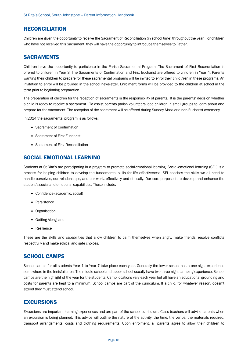#### RECONCILIATION

Children are given the opportunity to receive the Sacrament of Reconciliation (in school time) throughout the year. For children who have not received this Sacrament, they will have the opportunity to introduce themselves to Father.

#### SACRAMENTS

Children have the opportunity to participate in the Parish Sacramental Program. The Sacrament of First Reconciliation is offered to children in Year 3. The Sacraments of Confirmation and First Eucharist are offered to children in Year 4. Parents wanting their children to prepare for these sacramental programs will be invited to enrol their child /ren in these programs. An invitation to enrol will be provided in the school newsletter. Enrolment forms will be provided to the children at school in the term prior to beginning preparation.

The preparation of children for the reception of sacraments is the responsibility of parents. It is the parents' decision whether a child is ready to receive a sacrament. To assist parents parish volunteers lead children in small groups to learn about and prepare for the sacrament. The reception of the sacrament will be offered during Sunday Mass or a non-Eucharist ceremony.

In 2014 the sacramental program is as follows:

- Sacrament of Confirmation
- Sacrament of First Eucharist
- Sacrament of First Reconciliation

#### SOCIAL EMOTIONAL LEARNING

Students at St Rita's are participating in a program to promote social-emotional learning. Social-emotional learning (SEL) is a process for helping children to develop the fundamental skills for life effectiveness. SEL teaches the skills we all need to handle ourselves, our relationships, and our work, effectively and ethically. Our core purpose is to develop and enhance the student's social and emotional capabilities. These include:

- Confidence (academic, social)
- Persistence
- Organisation
- Getting Along, and
- Resilience

These are the skills and capabilities that allow children to calm themselves when angry, make friends, resolve conflicts respectfully and make ethical and safe choices.

#### SCHOOL CAMPS

School camps for all students Year 1 to Year 7 take place each year. Generally the lower school has a one-night experience somewhere in the Innisfail area. The middle school and upper school usually have two three night camping experience. School camps are the highlight of the year for the students. Camp locations vary each year but all have an educational grounding and costs for parents are kept to a minimum. School camps are part of the curriculum. If a child, for whatever reason, doesn't attend they must attend school.

#### EXCURSIONS

Excursions are important learning experiences and are part of the school curriculum. Class teachers will advise parents when an excursion is being planned. This advice will outline the nature of the activity, the time, the venue, the materials required, transport arrangements, costs and clothing requirements. Upon enrolment, all parents agree to allow their children to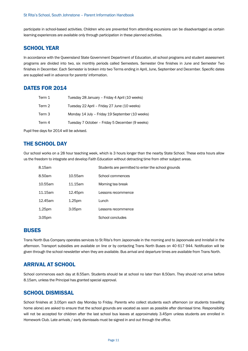participate in school-based activities. Children who are prevented from attending excursions can be disadvantaged as certain learning experiences are available only through participation in these planned activities.

## SCHOOL YEAR

In accordance with the Queensland State Government Department of Education, all school programs and student assessment programs are divided into two, six monthly periods called Semesters. Semester One finishes in June and Semester Two finishes in December. Each Semester is broken into two Terms ending in April, June, September and December. Specific dates are supplied well in advance for parents' information.

## DATES FOR 2014

| Term 1 | Tuesday 28 January - Friday 4 April (10 weeks)  |
|--------|-------------------------------------------------|
| Term 2 | Tuesday 22 April - Friday 27 June (10 weeks)    |
| Term 3 | Monday 14 July - Friday 19 September (10 weeks) |
| Term 4 | Tuesday 7 October – Friday 5 December (9 weeks) |

Pupil free days for 2014 will be advised.

## THE SCHOOL DAY

Our school works on a 28 hour teaching week, which is 3 hours longer than the nearby State School. These extra hours allow us the freedom to integrate and develop Faith Education without detracting time from other subject areas.

| 8.15am             |                    | Students are permitted to enter the school grounds |
|--------------------|--------------------|----------------------------------------------------|
| 8.50am             | 10.55am            | School commences                                   |
| 10.55am            | 11.15am            | Morning tea break                                  |
| 11.15am            | 12.45pm            | Lessons recommence                                 |
| 12.45am            | 1.25 <sub>pm</sub> | Lunch                                              |
| 1.25 <sub>pm</sub> | 3.05pm             | Lessons recommence                                 |
| 3.05pm             |                    | School concludes                                   |

#### **BUSES**

Trans North Bus Company operates services to St Rita's from Japoonvale in the morning and to Japoonvale and Innisfail in the afternoon. Transport subsidies are available on line or by contacting Trans North Buses on 40 617 944. Notification will be given through the school newsletter when they are available. Bus arrival and departure times are available from Trans North.

## ARRIVAL AT SCHOOL

School commences each day at 8.55am. Students should be at school no later than 8.50am. They should not arrive before 8.15am, unless the Principal has granted special approval.

## SCHOOL DISMISSAL

School finishes at 3.05pm each day Monday to Friday. Parents who collect students each afternoon (or students travelling home alone) are asked to ensure that the school grounds are vacated as soon as possible after dismissal time. Responsibility will not be accepted for children after the last school bus leaves at approximately 3.45pm unless students are enrolled in Homework Club. Late arrivals / early dismissals must be signed in and out through the office.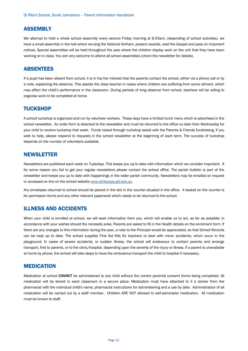## ASSEMBLY

We attempt to hold a whole school assembly every second Friday morning at 8.55am, (depending of school activities), we have a small assembly in the hall where we sing the National Anthem, present awards, read the Gospel and pass on important notices. Special assemblies will be held throughout the year where the children display work on the unit that they have been working on in class. You are very welcome to attend all school assemblies (check the newsletter for details).

## ABSENTEES

If a pupil has been absent from school, it is in his/her interest that the parents contact the school, either via a phone call or by a note, explaining the absence. This assists the class teacher in cases where children are suffering from some ailment, which may affect the child's performance in the classroom. During periods of long absence from school, teachers will be willing to organise work to be completed at home.

## **TUCKSHOP**

A school tuckshop is organized and run by volunteer workers. These days have a limited lunch menu which is advertised in the school newsletter. An order form is attached to the newsletter and must be returned to the office no later than Wednesday for your child to receive tuckshop that week. Funds raised through tuckshop assist with the Parents & Friends fundraising. If you wish to help, please respond to requests in the school newsletter at the beginning of each term. The success of tuckshop depends on the number of volunteers available.

## **NEWSLETTER**

Newsletters are published each week on Tuesdays. This keeps you up to date with information which we consider important. If for some reason you fail to get your regular newsletters please contact the school office. The parish bulletin is part of the newsletter and keeps you up to date with happenings in the wider parish community. Newsletters may be emailed on request or accessed on line on the school website www.stritascps.qld.edu.au

Any envelopes returned to school should be placed in the slot in the counter situated in the office. A basket on the counter is for permission forms and any other relevant paperwork which needs to be returned to the school.

## ILLNESS AND ACCIDENTS

When your child is enrolled at school, we will seek information from you, which will enable us to act, as far as possible; in accordance with your wishes should the necessity arise. Parents are asked to fill in the Health details on the enrolment form. If there are any changes to this information during the year, a note to the Principal would be appreciated, so that School Records can be kept up to date. The school supplies First Aid Kits for teachers to deal with minor accidents, which occur in the playground. In cases of severe accidents, or sudden illness, the school will endeavour to contact parents and arrange transport, first to parents, or to the clinic/hospital, depending upon the severity of the injury or illness. If a parent is unavailable at home by phone, the school will take steps to have the ambulance transport the child to hospital if necessary.

#### MEDICATION

Medication at school CANNOT be administered to any child without the correct parental consent forms being completed. All medication will be stored in each classroom in a secure place. Medication must have attached to it a sticker from the pharmacist with the individual child's name, pharmacist instructions for administering and a use by date. Administration of all medication will be carried out by a staff member. Children ARE NOT allowed to self-administer medication. All medication must be known to staff.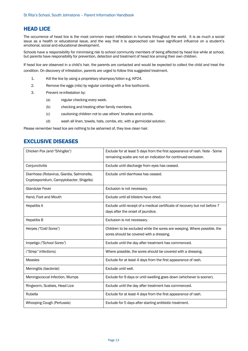## HEAD LICE

The occurrence of head lice is the most common insect infestation in humans throughout the world. It is as much a social issue as a health or educational issue, and the way that it is approached can have significant influence on a student's emotional, social and educational development.

Schools have a responsibility for minimising risk to school community members of being affected by head lice while at school, but parents have responsibility for prevention, detection and treatment of head lice among their own children.

If head lice are observed in a child's hair, the parents are contacted and would be expected to collect the child and treat the condition. On discovery of infestation, parents are urged to follow this suggested treatment.

- 1. Kill the lice by using a proprietary shampoo/lotion e.g. KP24.
- 2. Remove the eggs (nits) by regular combing with a fine toothcomb.
- 3. Prevent re-infestation by:
	- (a) regular checking every week.
	- (b) checking and treating other family members.
	- (c) cautioning children not to use others' brushes and combs.
	- (d) wash all linen, towels, hats, combs, etc. with a germicidal solution.

Please remember head lice are nothing to be ashamed of, they love clean hair.

## EXCLUSIVE DISEASES

| Chicken Pox (and "Shingles")                                                            | Exclude for at least 5 days from the first appearance of rash. Note - Some<br>remaining scabs are not an indication for continued exclusion. |
|-----------------------------------------------------------------------------------------|----------------------------------------------------------------------------------------------------------------------------------------------|
| Conjunctivitis                                                                          | Exclude until discharge from eyes has ceased.                                                                                                |
| Diarrhoea (Rotavirus, Giardia, Salmonella,<br>Cryptosporidium, Campylobacter, Shigella) | Exclude until diarrhoea has ceased.                                                                                                          |
| <b>Glandular Fever</b>                                                                  | Exclusion is not necessary.                                                                                                                  |
| Hand, Foot and Mouth                                                                    | Exclude until all blisters have dried.                                                                                                       |
| <b>Hepatitis A</b>                                                                      | Exclude until receipt of a medical certificate of recovery but not before 7<br>days after the onset of jaundice.                             |
| <b>Hepatitis B</b>                                                                      | Exclusion is not necessary.                                                                                                                  |
| Herpes ("Cold Sores")                                                                   | Children to be excluded while the sores are weeping. Where possible, the<br>sores should be covered with a dressing.                         |
| Impetigo ("School Sores")                                                               | Exclude until the day after treatment has commenced.                                                                                         |
| ("Strep" Infections)                                                                    | Where possible, the sores should be covered with a dressing.                                                                                 |
| <b>Measles</b>                                                                          | Exclude for at least 4 days from the first appearance of rash.                                                                               |
| Meningitis (bacterial)                                                                  | Exclude until well.                                                                                                                          |
| Meningococcal Infection, Mumps                                                          | Exclude for 9 days or until swelling goes down (whichever is sooner).                                                                        |
| Ringworm, Scabies, Head Lice                                                            | Exclude until the day after treatment has commenced.                                                                                         |
| Rubella                                                                                 | Exclude for at least 4 days from the first appearance of rash.                                                                               |
| <b>Whooping Cough (Pertussis)</b>                                                       | Exclude for 5 days after starting antibiotic treatment.                                                                                      |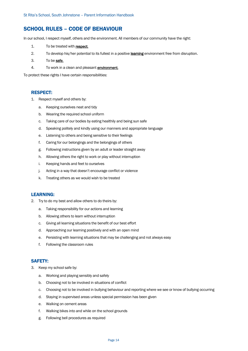## SCHOOL RULES – CODE OF BEHAVIOUR

In our school, I respect myself, others and the environment. All members of our community have the right:

- 1. To be treated with respect.
- 2. To develop his/her potential to its fullest in a positive learning environment free from disruption.
- 3. To be **safe**.
- 4. To work in a clean and pleasant **environment**.

To protect these rights I have certain responsibilities:

#### RESPECT:

- 1. Respect myself and others by:
	- a. Keeping ourselves neat and tidy
	- b. Wearing the required school uniform
	- c. Taking care of our bodies by eating healthily and being sun safe
	- d. Speaking politely and kindly using our manners and appropriate language
	- e. Listening to others and being sensitive to their feelings
	- f. Caring for our belongings and the belongings of others
	- g. Following instructions given by an adult or leader straight away
	- h. Allowing others the right to work or play without interruption
	- i. Keeping hands and feet to ourselves
	- j. Acting in a way that doesn't encourage conflict or violence
	- k. Treating others as we would wish to be treated

#### LEARNING:

- 2. Try to do my best and allow others to do theirs by:
	- a. Taking responsibility for our actions and learning
	- b. Allowing others to learn without interruption
	- c. Giving all learning situations the benefit of our best effort
	- d. Approaching our learning positively and with an open mind
	- e. Persisting with learning situations that may be challenging and not always easy
	- f. Following the classroom rules

#### SAFETY:

- 3. Keep my school safe by:
	- a. Working and playing sensibly and safely
	- b. Choosing not to be involved in situations of conflict
	- c. Choosing not to be involved in bullying behaviour and reporting where we see or know of bullying occurring
	- d. Staying in supervised areas unless special permission has been given
	- e. Walking on cement areas
	- f. Walking bikes into and while on the school grounds
	- g. Following bell procedures as required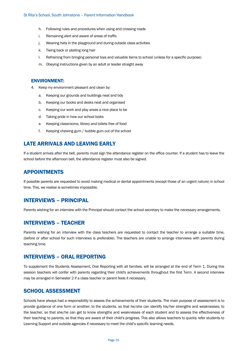- h. Following rules and procedures when using and crossing roads
- i. Remaining alert and aware of areas of traffic
- j. Wearing hats in the playground and during outside class activities
- k. Tieing back or plaiting long hair
- l. Refraining from bringing personal toys and valuable items to school (unless for a specific purpose)
- m. Obeying instructions given by an adult or leader straight away

#### ENVIRONMENT:

- 4. Keep my environment pleasant and clean by:
	- a. Keeping our grounds and buildings neat and tidy
	- b. Keeping our books and desks neat and organised
	- c. Keeping our work and play areas a nice place to be
	- d. Taking pride in how our school looks
	- e. Keeping classrooms, library and toilets free of food
	- f. Keeping chewing gum / bubble gum out of the school

## LATE ARRIVALS AND LEAVING EARLY

If a student arrives after the bell, parents must sign the attendance register on the office counter. If a student has to leave the school before the afternoon bell, the attendance register must also be signed.

#### APPOINTMENTS

If possible parents are requested to avoid making medical or dental appointments (except those of an urgent nature) in school time. This, we realise is sometimes impossible.

#### INTERVIEWS – PRINCIPAL

Parents wishing for an interview with the Principal should contact the school secretary to make the necessary arrangements.

#### INTERVIEWS – TEACHER

Parents wishing for an interview with the class teachers are requested to contact the teacher to arrange a suitable time, (before or after school for such interviews is preferable). The teachers are unable to arrange interviews with parents during teaching time.

#### INTERVIEWS – ORAL REPORTING

To supplement the Students Assessment, Oral Reporting with all families, will be arranged at the end of Term 1. During this session teachers will confer with parents regarding their child's achievements throughout the first Term. A second interview may be arranged in Semester 2 if a class teacher or parent feels it necessary.

## SCHOOL ASSESSMENT

Schools have always had a responsibility to assess the achievements of their students. The main purpose of assessment is to provide guidance of one form or another: to the students, so that he/she can identify his/her strengths and weaknesses; to the teacher, so that she/he can get to know strengths and weaknesses of each student and to assess the effectiveness of their teaching; to parents, so that they are aware of their child's progress. This also allows teachers to quickly refer students to Learning Support and outside agencies if necessary to meet the child's specific learning needs.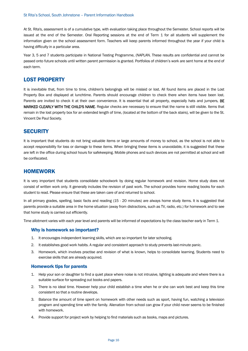At St. Rita's, assessment is of a cumulative type, with evaluation taking place throughout the Semester. School reports will be issued at the end of the Semester. Oral Reporting sessions at the end of Term 1 for all students will supplement the information given on the school assessment form. Teachers will keep parents informed throughout the year if your child is having difficulty in a particular area.

Year 3, 5 and 7 students participate in National Testing Programme, (NAPLAN. These results are confidential and cannot be passed onto future schools until written parent permission is granted. Portfolios of children's work are sent home at the end of each term.

## LOST PROPERTY

It is inevitable that, from time to time, children's belongings will be mislaid or lost. All found items are placed in the Lost Property Box and displayed at lunchtime. Parents should encourage children to check there when items have been lost. Parents are invited to check it at their own convenience. It is essential that all property, especially hats and jumpers, BE MARKED CLEARLY WITH THE CHILD'S NAME. Regular checks are necessary to ensure that the name is still visible. Items that remain in the lost property box for an extended length of time, (located at the bottom of the back stairs), will be given to the St. Vincent De Paul Society.

## **SECURITY**

It is important that students do not bring valuable items or large amounts of money to school, as the school is not able to accept responsibility for loss or damage to these items. When bringing these items is unavoidable, it is suggested that these are left in the office during school hours for safekeeping. Mobile phones and such devices are not permitted at school and will be confiscated.

## HOMEWORK

It is very important that students consolidate schoolwork by doing regular homework and revision. Home study does not consist of written work only. It generally includes the revision of past work. The school provides home reading books for each student to read. Please ensure that these are taken care of and returned to school.

In all primary grades, spelling, basic facts and reading (15 - 20 minutes) are always home study items. It is suggested that parents provide a suitable area in the home situation (away from distractions, such as TV, radio, etc.) for homework and to see that home study is carried out efficiently.

Time allotment varies with each year level and parents will be informed of expectations by the class teacher early in Term 1.

#### Why is homework so important?

- 1. It encourages independent learning skills, which are so important for later schooling.
- 2. It establishes good work habits. A regular and consistent approach to study prevents last-minute panic.
- 3. Homework, which involves practise and revision of what is known, helps to consolidate learning. Students need to exercise skills that are already acquired.

#### Homework tips for parents

- 1. Help your son or daughter to find a quiet place where noise is not intrusive, lighting is adequate and where there is a suitable surface for spreading out books and papers.
- 2. There is no ideal time. However help your child establish a time when he or she can work best and keep this time consistent so that a routine develops.
- 3. Balance the amount of time spent on homework with other needs such as sport, having fun, watching a television program and spending time with the family. Alienation from school can grow if your child never seems to be finished with homework.
- 4. Provide support for project work by helping to find materials such as books, maps and pictures.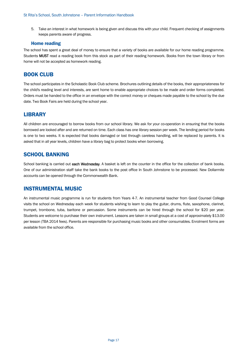5. Take an interest in what homework is being given and discuss this with your child. Frequent checking of assignments keeps parents aware of progress.

#### Home reading

The school has spent a great deal of money to ensure that a variety of books are available for our home reading programme. Students MUST read a reading book from this stock as part of their reading homework. Books from the town library or from home will not be accepted as homework reading.

## BOOK CLUB

The school participates in the Scholastic Book Club scheme. Brochures outlining details of the books, their appropriateness for the child's reading level and interests, are sent home to enable appropriate choices to be made and order forms completed. Orders must be handed to the office in an envelope with the correct money or cheques made payable to the school by the due date. Two Book Fairs are held during the school year.

## LIBRARY

All children are encouraged to borrow books from our school library. We ask for your co-operation in ensuring that the books borrowed are looked after and are returned on time. Each class has one library session per week. The lending period for books is one to two weeks. It is expected that books damaged or lost through careless handling, will be replaced by parents. It is asked that in all year levels, children have a library bag to protect books when borrowing.

## SCHOOL BANKING

School banking is carried out each Wednesday. A basket is left on the counter in the office for the collection of bank books. One of our administration staff take the bank books to the post office In South Johnstone to be processed. New Dollarmite accounts can be opened through the Commonwealth Bank.

## INSTRUMENTAL MUSIC

An instrumental music programme is run for students from Years 4-7. An instrumental teacher from Good Counsel College visits the school on Wednesday each week for students wishing to learn to play the guitar, drums, flute, saxophone, clarinet, trumpet, trombone, tuba, baritone or percussion. Some instruments can be hired through the school for \$20 per year. Students are welcome to purchase their own instrument. Lessons are taken in small groups at a cost of approximately \$13.00 per lesson (TBA 2014 fees). Parents are responsible for purchasing music books and other consumables. Enrolment forms are available from the school office.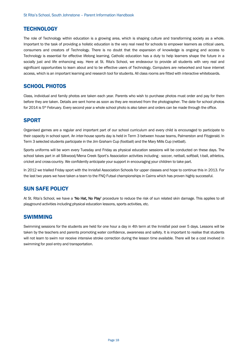## **TECHNOLOGY**

The role of Technology within education is a growing area, which is shaping culture and transforming society as a whole. Important to the task of providing a holistic education is the very real need for schools to empower learners as critical users, consumers and creators of Technology. There is no doubt that the expansion of knowledge is ongoing and access to Technology is essential for effective lifelong learning. Catholic education has a duty to help learners shape the future in a socially just and life enhancing way. Here at St. Rita's School, we endeavour to provide all students with very real and significant opportunities to learn about and to be effective users of Technology. Computers are networked and have internet access, which is an important learning and research tool for students. All class rooms are fitted with interactive whiteboards.

## SCHOOL PHOTOS

Class, individual and family photos are taken each year. Parents who wish to purchase photos must order and pay for them before they are taken. Details are sent home as soon as they are received from the photographer. The date for school photos for 2014 is 5th February. Every second year a whole school photo is also taken and orders can be made through the office.

## **SPORT**

Organised games are a regular and important part of our school curriculum and every child is encouraged to participate to their capacity in school sport. An inter-house sports day is held in Term 3 between house teams, Palmerston and Fitzgerald. In Term 3 selected students participate in the Jim Graham Cup (football) and the Mary Mills Cup (netball).

Sports uniforms will be worn every Tuesday and Friday as physical education sessions will be conducted on these days. The school takes part in all Silkwood/Mena Creek Sport's Association activities including - soccer, netball, softball, t-ball, athletics, cricket and cross-country. We confidently anticipate your support in encouraging your children to take part.

In 2012 we trialled Friday sport with the Innisfail Association Schools for upper classes and hope to continue this in 2013. For the last two years we have taken a team to the FNQ Futsal championships in Cairns which has proven highly successful.

## SUN SAFE POLICY

At St. Rita's School, we have a 'No Hat, No Play' procedure to reduce the risk of sun related skin damage. This applies to all playground activities including physical education lessons, sports activities, etc.

## SWIMMING

Swimming sessions for the students are held for one hour a day in 4th term at the Innisfail pool over 5 days. Lessons will be taken by the teachers and parents promoting water confidence, awareness and safety. It is important to realise that students will not learn to swim nor receive intensive stroke correction during the lesson time available. There will be a cost involved in swimming for pool entry and transportation.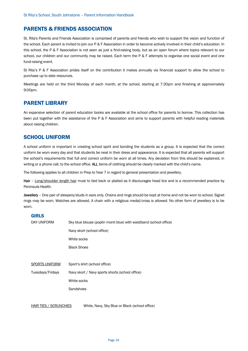## PARENTS & FRIENDS ASSOCIATION

St. Rita's Parents and Friends Association is comprised of parents and friends who wish to support the vision and function of the school. Each parent is invited to join our P & F Association in order to become actively involved in their child's education. In this school, the P & F Association is not seen as just a find-raising body, but as an open forum where topics relevant to our school, our children and our community may be raised. Each term the P & F attempts to organise one social event and one fund-raising event.

St Rita's P & F Association prides itself on the contribution it makes annually via financial support to allow the school to purchase up to date resources.

Meetings are held on the third Monday of each month, at the school, starting at 7:30pm and finishing at approximately 9:00pm.

## PARENT LIBRARY

An expansive selection of parent education books are available at the school office for parents to borrow. This collection has been put together with the assistance of the P & F Association and aims to support parents with helpful reading materials about raising children.

## SCHOOL UNIFORM

A school uniform is important in creating school spirit and bonding the students as a group. It is expected that the correct uniform be worn every day and that students be neat in their dress and appearance. It is expected that all parents will support the school's requirements that full and correct uniform be worn at all times. Any deviation from this should be explained, in writing or a phone call, to the school office. ALL items of clothing should be clearly marked with the child's name.

The following applies to all children in Prep to Year 7 in regard to general presentation and jewellery.

Hair - Long/shoulder length hair must to tied back or plaited as it discourages head lice and is a recommended practice by Peninsula Health.

Jewellery - One pair of sleepers/studs in ears only. Chains and rings should be kept at home and not be worn to school. Signet rings may be worn. Watches are allowed. A chain with a religious medal/cross is allowed. No other form of jewellery is to be worn.

#### GIRLS

| DAY UNIFORM           | Sky blue blouse (poplin monti blue) with waistband (school office) |
|-----------------------|--------------------------------------------------------------------|
|                       | Navy skort (school office)                                         |
|                       | White socks                                                        |
|                       | <b>Black Shoes</b>                                                 |
|                       |                                                                    |
| <b>SPORTS UNIFORM</b> | Sport's shirt (school office)                                      |
| Tuesdays/Fridays      | Navy skort / Navy sports shorts (school office)                    |
|                       | White socks                                                        |
|                       | Sandshoes                                                          |
|                       |                                                                    |

HAIR TIES / SCRUNCHIES White, Navy, Sky Blue or Black (school office)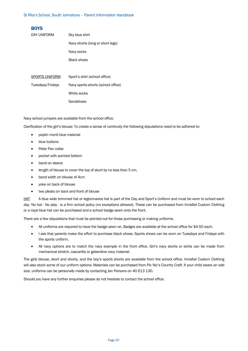| <b>BOYS</b>      |                                    |
|------------------|------------------------------------|
| DAY UNIFORM      | Sky blue shirt                     |
|                  | Navy shorts (long or short legs)   |
|                  | Navy socks                         |
|                  | Black shoes                        |
|                  |                                    |
| SPORTS UNIFORM   | Sport's shirt (school office)      |
| Tuesdays/Fridays | Navy sports shorts (school office) |
|                  | White socks                        |
|                  | Sandshoes                          |

Navy school jumpers are available from the school office.

Clarification of the girl's blouse: To create a sense of continuity the following stipulations need to be adhered to:

- poplin monti blue material
- blue buttons
- Peter Pan collar
- pocket with pointed bottom
- band on sleeve
- length of blouse to cover the top of skort by no less than 5 cm.
- band width on blouse of 4cm
- yoke on back of blouse
- two pleats on back and front of blouse

HAT A blue wide brimmed hat or legionnaires hat is part of the Day and Sport's Uniform and must be worn to school each day. No hat - No play - is a firm school policy (no exceptions allowed). These can be purchased from Innisfail Custom Clothing or a royal blue hat can be purchased and a school badge sewn onto the front.

There are a few stipulations that must be pointed out for those purchasing or making uniforms.

- All uniforms are required to have the badge sewn on. Badges are available at the school office for \$4.50 each.
- I ask that parents make the effort to purchase black shoes. Sports shoes can be worn on Tuesdays and Fridays with the sports uniform.
- All navy options are to match the navy example in the front office. Girl's navy skorts or skirts can be made from mechanical stretch, cascarilla or gaberdine navy material.

The girls blouse, skort and shorts, and the boy's sports shorts are available from the school office. Innisfail Custom Clothing will also stock some of our uniform options. Materials can be purchased from Pic Nic's Country Craft. If your child wears an odd size, uniforms can be personally made by contacting Jan Parsons on 40 613 130.

Should you have any further enquiries please do not hesitate to contact the school office.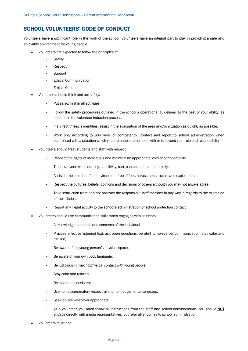## SCHOOL VOLUNTEERS' CODE OF CONDUCT

Volunteers have a significant role in the work of the school. Volunteers have an integral part to play in providing a safe and enjoyable environment for young people.

- Volunteers are expected to follow the principles of:
	- Safety
	- Respect
	- Support
	- Ethical Communication
	- Ethical Conduct
- Volunteers should think and act safely:
	- Put safety first in all activities.
	- Follow the safety procedures outlined in the school's operational guidelines, to the best of your ability, as outlined in the volunteer induction process.
	- If a direct threat is identifies, assist in the evacuation of the area and/or situation as quickly as possible.
	- Work only according to your level of competency. Contact and report to school administration when confronted with a situation which you are unable to contend with or is beyond your role and responsibility.
- Volunteers should treat students and staff with respect:
	- Respect the rights of individuals and maintain an appropriate level of confidentiality.
	- Treat everyone with courtesy, sensitivity, tact, consideration and humility.
	- Assist in the creation of an environment free of fear, harassment, racism and exploitation.
	- Respect the cultures, beliefs, opinions and decisions of others although you may not always agree.
	- Take instruction from and not obstruct the responsible staff member in any way in regards to the execution of their duties.
	- Report any illegal activity to the school's administration or school protection contact.
- Volunteers should use communication skills when engaging with students:
	- Acknowledge the needs and concerns of the individual.
	- Practise effective listening (e.g. ask open questions; be alert to non-verbal communication; stay calm and relaxed).
	- Be aware of the young person's physical space.
	- Be aware of your own body language.
	- Be judicious in making physical contact with young people.
	- Stay calm and relaxed.
	- Be clear and consistent.
	- Use non-discriminatory respectful and non-judgemental language.
	- Seek advice whenever appropriate.
	- As a volunteer, you must follow all instructions from the staff and school administration. You should NOT engage directly with media representatives, but refer all enquiries to school administration.
- Volunteers must not: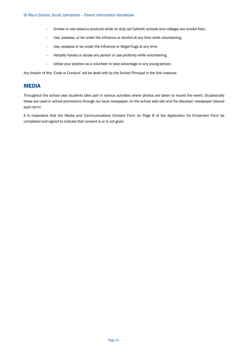- Smoke or use tobacco products while on duty (all Catholic schools and colleges are smoke free).
- Use, possess, or be under the influence or alcohol at any time while volunteering.
- Use, possess or be under the influence or illegal frugs at any time.
- Verbally harass or abuse any person or use profanity while volunteering.
- Utilise your position as a volunteer to take advantage or any young person.

Any breach of this 'Code or Conduct' will be dealt with by the School Principal in the first instance.

## MEDIA

Throughout the school year students take part in various activities where photos are taken to record the event. Occasionally these are used in school promotions through our local newspaper, on the school web site and the diocesan newspaper (issued each term)

It is imperative that the Media and Communications Consent Form on Page 8 of the Application for Enrolment Form be completed and signed to indicate that consent is or is not given.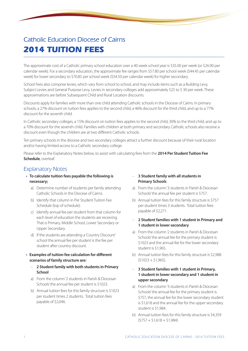## Catholic Education Diocese of Cairns **2014 TUITION FEES**

The approximate cost of a Catholic primary school education over a 40 week school year is \$35.00 per week (or \$26.90 per calendar week). For a secondary education, the approximate fee ranges from \$57.80 per school week (\$44.45 per calendar week) for lower secondary to \$70.85 per school week (\$54.50 per calendar week) for higher secondary.

School Fees also comprise levies, which vary from school to school, and may include items such as a Building Levy, Subject Levies and General Purpose Levy. Levies in secondary colleges add approximately \$25 to \$ 30 per week. These approximations are before Subsequent Child and Rural Location discounts.

Discounts apply for families with more than one child attending Catholic schools in the Diocese of Cairns. In primary schools, a 27% discount on tuition fees applies to the second child, a 46% discount for the third child, and up to a 77% discount for the seventh child.

In Catholic secondary colleges, a 15% discount on tuition fees applies to the second child, 30% to the third child, and up to a 70% discount for the seventh child. Families with children at both primary and secondary Catholic schools also receive a discount even though the children are at two different Catholic schools.

Ten primary schools in the diocese and two secondary colleges attract a further discount because of their rural location and/or having limited access to a Catholic secondary college.

Please refer to the Explanatory Notes below, to assist with calculating fees from the **2014 Per Student Tuition Fee Schedule**, overleaf.

## Explanatory Notes

- **• To calculate tuition fees payable the following is necessary;**
	- a) Determine number of students per family attending Catholic Schools in the Diocese of Cairns.
	- b) Identify that column in Per Student Tuition Fee Schedule (top of schedule).
	- c) Identify annual fee per student from that column for each level of education the students are receiving. That is Primary, Middle School, Lower Secondary or Upper Secondary.
	- d) If the students are attending a 'Country Discount' school the annual fee per student is the fee per student after country discount.
- **• Examples of tuition fee calculation for different scenarios of family structure are:**
	- **2 Student family with both students in Primary School**
	- a) From the column '2 students in Parish & Diocesan Schools' the annual fee per student is \$1023.
	- b) Annual tuition fees for this family structure is \$1023 per student times 2 students. Total tuition fees payable of \$2,046.

#### – **3 Student family with all students in Primary Schools**

- a) From the column '3 students in Parish & Diocesan Schools' the annual fee per student is \$757.
- b) Annual tuition fees for this family structure is \$757 per student times 3 students. Total tuition fees payable of \$2,271.
- **2 Student families with 1 student in Primary and 1 student in lower secondary**
- a) From the column '2 students in Parish & Diocesan Schools' the annual fee for the primary student is \$1023 and the annual fee for the lower secondary student is \$1,965.
- b) Annual tuition fees for this family structure is \$2,988  $(51023 + 51,965)$ .

#### – **3 Student families with 1 student in Primary, 1 student in lower secondary and 1 student in upper secondary**

- a) From the column '3 students in Parish & Diocesan Schools' the annual fee for the primary student is \$757, the annual fee for the lower secondary student is \$1,618 and the annual fee for the upper secondary student is \$1,984.
- b) Annual tuition fees for this family structure is \$4,359  $(5757 + 51.618 + 51.984)$